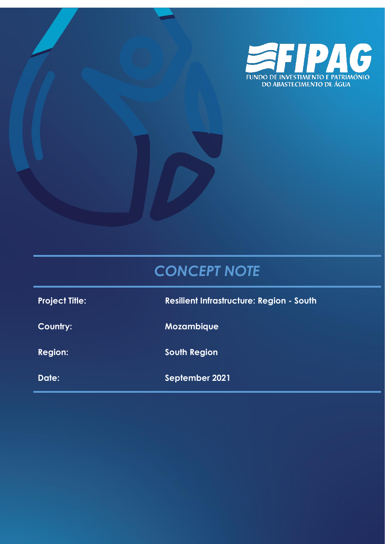

# *CONCEPT NOTE*

**Project Title: Resilient Infrastructure: Region - South**

**Country: Mozambique**

**Region: South Region**

**Date: September 2021**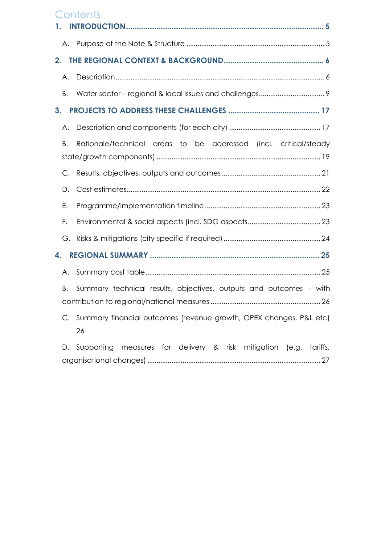## **Contents**

| 1. |                                                                          |
|----|--------------------------------------------------------------------------|
|    |                                                                          |
| 2. |                                                                          |
| Α. |                                                                          |
| В. |                                                                          |
| 3. |                                                                          |
| А. |                                                                          |
| В. | Rationale/technical areas to be addressed (incl. critical/steady         |
| C. |                                                                          |
| D. |                                                                          |
| Ε. |                                                                          |
| F. |                                                                          |
| G. |                                                                          |
| 4. |                                                                          |
| Α. |                                                                          |
| В. | Summary technical results, objectives, outputs and outcomes – with       |
|    | Summary financial outcomes (revenue growth, OPEX changes, P&L etc)<br>26 |
| D. | Supporting measures for delivery & risk mitigation (e.g. tariffs,        |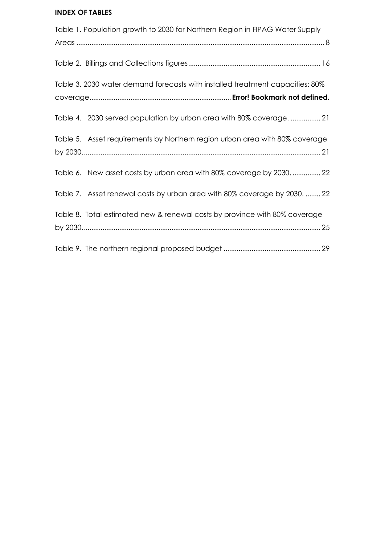## **INDEX OF TABLES**

| Table 1. Population growth to 2030 for Northern Region in FIPAG Water Supply  |
|-------------------------------------------------------------------------------|
|                                                                               |
|                                                                               |
| Table 3. 2030 water demand forecasts with installed treatment capacities: 80% |
|                                                                               |
| Table 4. 2030 served population by urban area with 80% coverage.  21          |
| Table 5. Asset requirements by Northern region urban area with 80% coverage   |
|                                                                               |
| Table 6. New asset costs by urban area with 80% coverage by 2030 22           |
| Table 7. Asset renewal costs by urban area with 80% coverage by 2030.  22     |
| Table 8. Total estimated new & renewal costs by province with 80% coverage    |
|                                                                               |
|                                                                               |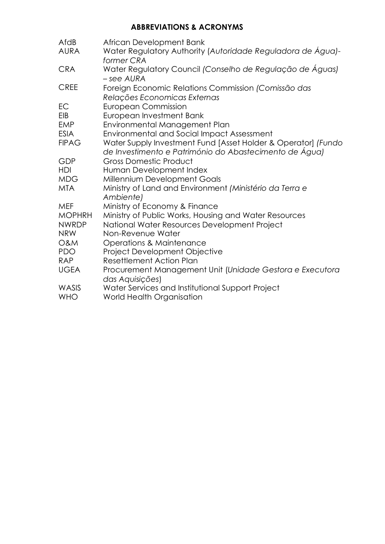## **ABBREVIATIONS & ACRONYMS**

| AfdB<br><b>AURA</b> | African Development Bank<br>Water Regulatory Authority (Autoridade Reguladora de Água)-<br>former CRA                   |
|---------------------|-------------------------------------------------------------------------------------------------------------------------|
| <b>CRA</b>          | Water Regulatory Council (Conselho de Regulação de Águas)<br>- see AURA                                                 |
| <b>CREE</b>         | Foreign Economic Relations Commission (Comissão das<br>Relações Economicas Externas                                     |
| EC                  | <b>European Commission</b>                                                                                              |
| EIB                 | European Investment Bank                                                                                                |
| <b>EMP</b>          | Environmental Management Plan                                                                                           |
| <b>ESIA</b>         | <b>Environmental and Social Impact Assessment</b>                                                                       |
| <b>FIPAG</b>        | Water Supply Investment Fund [Asset Holder & Operator] (Fundo<br>de Investimento e Património do Abastecimento de Água) |
| GDP                 | <b>Gross Domestic Product</b>                                                                                           |
| <b>HDI</b>          | Human Development Index                                                                                                 |
| <b>MDG</b>          | Millennium Development Goals                                                                                            |
| <b>MTA</b>          | Ministry of Land and Environment (Ministério da Terra e<br>Ambiente)                                                    |
| <b>MEF</b>          | Ministry of Economy & Finance                                                                                           |
| <b>MOPHRH</b>       | Ministry of Public Works, Housing and Water Resources                                                                   |
| <b>NWRDP</b>        | National Water Resources Development Project                                                                            |
| <b>NRW</b>          | Non-Revenue Water                                                                                                       |
| <b>O&amp;M</b>      | <b>Operations &amp; Maintenance</b>                                                                                     |
| <b>PDO</b>          | Project Development Objective                                                                                           |
| <b>RAP</b>          | <b>Resettlement Action Plan</b>                                                                                         |
| <b>UGEA</b>         | Procurement Management Unit (Unidade Gestora e Executora<br>das Aquisições)                                             |
| WASIS               | Water Services and Institutional Support Project                                                                        |
| <b>WHO</b>          | World Health Organisation                                                                                               |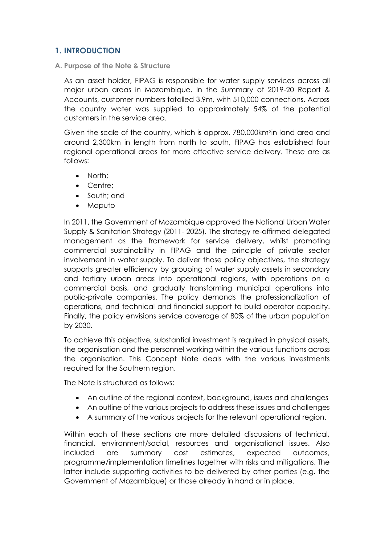## <span id="page-4-0"></span>**1. INTRODUCTION**

<span id="page-4-1"></span>**A. Purpose of the Note & Structure**

As an asset holder, FIPAG is responsible for water supply services across all major urban areas in Mozambique. In the Summary of 2019-20 Report & Accounts, customer numbers totalled 3.9m, with 510,000 connections. Across the country water was supplied to approximately 54% of the potential customers in the service area.

Given the scale of the country, which is approx. 780,000km<sup>2</sup>in land area and around 2,300km in length from north to south, FIPAG has established four regional operational areas for more effective service delivery. These are as follows:

- North:
- Centre:
- South; and
- Maputo

In 2011, the Government of Mozambique approved the National Urban Water Supply & Sanitation Strategy (2011- 2025). The strategy re-affirmed delegated management as the framework for service delivery, whilst promoting commercial sustainability in FIPAG and the principle of private sector involvement in water supply. To deliver those policy objectives, the strategy supports greater efficiency by grouping of water supply assets in secondary and tertiary urban areas into operational regions, with operations on a commercial basis, and gradually transforming municipal operations into public-private companies. The policy demands the professionalization of operations, and technical and financial support to build operator capacity. Finally, the policy envisions service coverage of 80% of the urban population by 2030.

To achieve this objective, substantial investment is required in physical assets, the organisation and the personnel working within the various functions across the organisation. This Concept Note deals with the various investments required for the Southern region.

The Note is structured as follows:

- An outline of the regional context, background, issues and challenges
- An outline of the various projects to address these issues and challenges
- A summary of the various projects for the relevant operational region.

Within each of these sections are more detailed discussions of technical, financial, environment/social, resources and organisational issues. Also included are summary cost estimates, expected outcomes, programme/implementation timelines together with risks and mitigations. The latter include supporting activities to be delivered by other parties (e.g. the Government of Mozambique) or those already in hand or in place.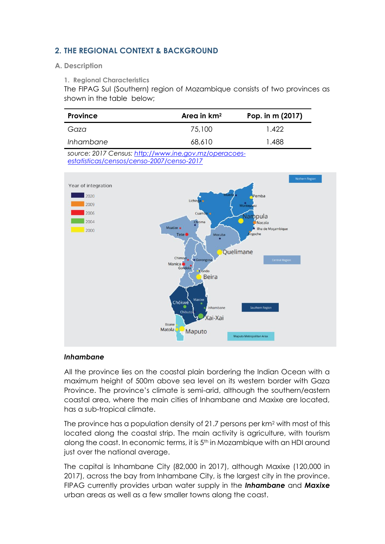## <span id="page-5-0"></span>**2. THE REGIONAL CONTEXT & BACKGROUND**

#### <span id="page-5-1"></span>**A. Description**

**1. Regional Characteristics**

The FIPAG Sul (Southern) region of Mozambique consists of two provinces as shown in the table below;

| <b>Province</b> | Area in km <sup>2</sup> | Pop. in m (2017) |  |  |
|-----------------|-------------------------|------------------|--|--|
| Gaza            | 75,100                  | 1.422            |  |  |
| Inhambane       | 68,610                  | 1.488            |  |  |

*source: 2017 Census[: http://www.ine.gov.mz/operacoes](http://www.ine.gov.mz/operacoes-estatisticas/censos/censo-2007/censo-2017)[estatisticas/censos/censo-2007/censo-2017](http://www.ine.gov.mz/operacoes-estatisticas/censos/censo-2007/censo-2017)*



#### *Inhambane*

All the province lies on the coastal plain bordering the Indian Ocean with a maximum height of 500m above sea level on its western border with Gaza Province. The province's climate is semi-arid, although the southern/eastern coastal area, where the main cities of Inhambane and Maxixe are located, has a sub-tropical climate.

The province has a population density of 21.7 persons per  $km<sup>2</sup>$  with most of this located along the coastal strip. The main activity is agriculture, with tourism along the coast. In economic terms, it is 5<sup>th</sup> in Mozambique with an HDI around just over the national average.

The capital is Inhambane City (82,000 in 2017), although Maxixe (120,000 in 2017), across the bay from Inhambane City, is the largest city in the province. FIPAG currently provides urban water supply in the *Inhambane* and *Maxixe* urban areas as well as a few smaller towns along the coast.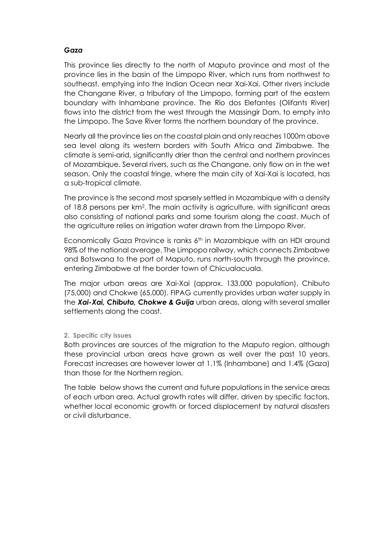## *Gaza*

This province lies directly to the north of Maputo province and most of the province lies in the basin of the [Limpopo River,](https://en.wikipedia.org/wiki/Limpopo_River) which runs from northwest to southeast, emptying into the [Indian Ocean](https://en.wikipedia.org/wiki/Indian_Ocean) near Xai-Xai. Other rivers include the [Changane River,](https://en.wikipedia.org/wiki/Changane_River) a tributary of the Limpopo, forming part of the eastern boundary with Inhambane province. The [Rio dos Elefantes](https://en.wikipedia.org/wiki/Rio_dos_Elefantes) (Olifants River) flows into the district from the west through the [Massingir Dam,](https://en.wikipedia.org/wiki/Massingir_Dam) to empty into the Limpopo. The Save River forms the northern boundary of the province.

Nearly all the province lies on the coastal plain and only reaches 1000m above sea level along its western borders with South Africa and Zimbabwe. The climate is semi-arid, significantly drier than the central and northern provinces of Mozambique. Several rivers, such as the Changane, only flow on in the wet season. Only the coastal fringe, where the main city of Xai-Xai is located, has a sub-tropical climate.

The province is the second most sparsely settled in Mozambique with a density of 18.8 persons per km<sup>2</sup>. The main activity is agriculture, with significant areas also consisting of national parks and some tourism along the coast. Much of the agriculture relies on irrigation water drawn from the Limpopo River.

Economically Gaza Province is ranks 6th in Mozambique with an HDI around 98% of the national average. The [Limpopo railway,](https://en.wikipedia.org/wiki/Limpopo_railway) which connect[s Zimbabwe](https://en.wikipedia.org/wiki/Zimbabwe) and [Botswana](https://en.wikipedia.org/wiki/Botswana) to the port of [Maputo,](https://en.wikipedia.org/wiki/Maputo) runs north-south through the province, entering Zimbabwe at the border town of [Chicualacuala.](https://en.wikipedia.org/wiki/Chicualacuala)

The major urban areas are Xai-Xai (approx. 133,000 population), Chibuto (75,000) and Chokwe (65,000). FIPAG currently provides urban water supply in the *Xai-Xai, Chibuto, Chokwe & Guija* urban areas, along with several smaller settlements along the coast.

#### **2. Specific city issues**

Both provinces are sources of the migration to the Maputo region, although these provincial urban areas have grown as well over the past 10 years. Forecast increases are however lower at 1.1% (Inhambane) and 1.4% (Gaza) than those for the Northern region.

The table below shows the current and future populations in the service areas of each urban area. Actual growth rates will differ, driven by specific factors, whether local economic growth or forced displacement by natural disasters or civil disturbance.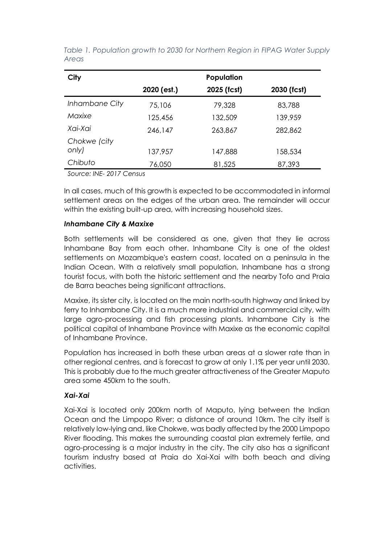| City           | Population  |             |             |  |  |  |
|----------------|-------------|-------------|-------------|--|--|--|
|                | 2020 (est.) | 2025 (fcst) | 2030 (fcst) |  |  |  |
| Inhambane City | 75,106      | 79,328      | 83,788      |  |  |  |
| Maxixe         | 125,456     | 132,509     | 139,959     |  |  |  |
| Xai-Xai        | 246,147     | 263,867     | 282,862     |  |  |  |
| Chokwe (city   |             |             |             |  |  |  |
| only)          | 137,957     | 147,888     | 158,534     |  |  |  |
| Chibuto        | 76,050      | 81,525      | 87,393      |  |  |  |

<span id="page-7-0"></span>*Table 1. Population growth to 2030 for Northern Region in FIPAG Water Supply Areas*

*Source: INE- 2017 Census* 

In all cases, much of this growth is expected to be accommodated in informal settlement areas on the edges of the urban area. The remainder will occur within the existing built-up area, with increasing household sizes.

#### *Inhambane City & Maxixe*

Both settlements will be considered as one, given that they lie across Inhambane Bay from each other. Inhambane City is one of the oldest settlements on Mozambique's eastern coast, located on a peninsula in the Indian Ocean. With a relatively small population, Inhambane has a strong tourist focus, with both the historic settlement and the nearby Tofo and Praia de Barra beaches being significant attractions.

Maxixe, its sister city, is located on the main north-south highway and linked by ferry to Inhambane City. It is a much more industrial and commercial city, with large agro-processing and fish processing plants. Inhambane City is the political capital of Inhambane Province with Maxixe as the economic capital of Inhambane Province.

Population has increased in both these urban areas at a slower rate than in other regional centres, and is forecast to grow at only 1.1% per year until 2030. This is probably due to the much greater attractiveness of the Greater Maputo area some 450km to the south.

## *Xai-Xai*

Xai-Xai is located only 200km north of Maputo, lying between the Indian Ocean and the Limpopo River; a distance of around 10km. The city itself is relatively low-lying and, like Chokwe, was badly affected by the 2000 Limpopo River flooding. This makes the surrounding coastal plan extremely fertile, and agro-processing is a major industry in the city. The city also has a significant tourism industry based at Praia do Xai-Xai with both beach and diving activities.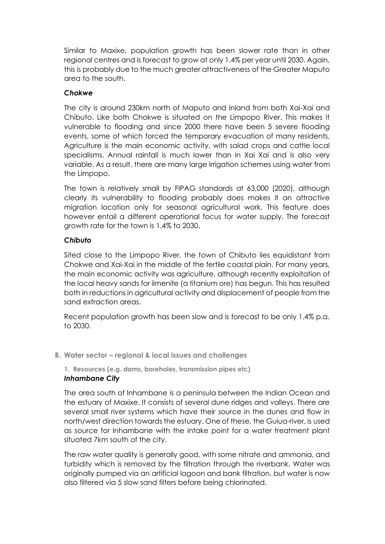Similar to Maxixe, population growth has been slower rate than in other regional centres and is forecast to grow at only 1.4% per year until 2030. Again, this is probably due to the much greater attractiveness of the Greater Maputo area to the south.

## *Chokwe*

The city is around 230km north of Maputo and inland from both Xai-Xai and Chibuto. Like both Chokwe is situated on the Limpopo River. This makes it vulnerable to flooding and since 2000 there have been 5 severe flooding events, some of which forced the temporary evacuation of many residents. Agriculture is the main economic activity, with salad crops and cattle local specialisms. Annual rainfall is much lower than in Xai Xai and is also very variable. As a result, there are many large irrigation schemes using water from the Limpopo.

The town is relatively small by FIPAG standards at 63,000 (2020), although clearly its vulnerability to flooding probably does makes it an attractive migration location only for seasonal agricultural work. This feature does however entail a different operational focus for water supply. The forecast growth rate for the town is 1.4% to 2030.

## *Chibuto*

Sited close to the Limpopo River, the town of Chibuto lies equidistant from Chokwe and Xai-Xai in the middle of the fertile coastal plain. For many years, the main economic activity was agriculture, although recently exploitation of the local heavy sands for ilmenite (a titanium ore) has begun. This has resulted both in reductions in agricultural activity and displacement of people from the sand extraction areas.

Recent population growth has been slow and is forecast to be only 1.4% p.a. to 2030.

<span id="page-8-0"></span>**B. Water sector – regional & local issues and challenges**

**1. Resources (e.g. dams, boreholes, transmission pipes etc)** *Inhambane City*

The area south of Inhambane is a peninsula between the Indian Ocean and the estuary of Maxixe. It consists of several dune ridges and valleys. There are several small river systems which have their source in the dunes and flow in north/west direction towards the estuary. One of these, the Guiua-river, is used as source for Inhambane with the intake point for a water treatment plant situated 7km south of the city.

The raw water quality is generally good, with some nitrate and ammonia, and turbidity which is removed by the filtration through the riverbank. Water was originally pumped via an artificial lagoon and bank filtration, but water is now also filtered via 5 slow sand filters before being chlorinated.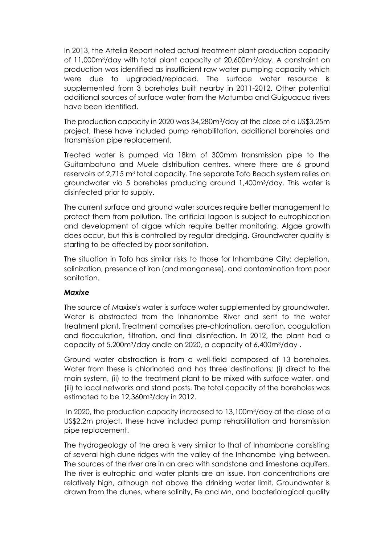In 2013, the Artelia Report noted actual treatment plant production capacity of 11,000m3/day with total plant capacity at 20,600m3/day. A constraint on production was identified as insufficient raw water pumping capacity which were due to upgraded/replaced. The surface water resource is supplemented from 3 boreholes built nearby in 2011-2012. Other potential additional sources of surface water from the Matumba and Guiguacua rivers have been identified.

The production capacity in 2020 was 34,280m3/day at the close of a US\$3.25m project, these have included pump rehabilitation, additional boreholes and transmission pipe replacement.

Treated water is pumped via 18km of 300mm transmission pipe to the Guitambatuno and Muele distribution centres, where there are 6 ground reservoirs of 2,715 m<sup>3</sup> total capacity. The separate Tofo Beach system relies on groundwater via 5 boreholes producing around 1,400m3/day. This water is disinfected prior to supply.

The current surface and ground water sources require better management to protect them from pollution. The artificial lagoon is subject to eutrophication and development of algae which require better monitoring. Algae growth does occur, but this is controlled by regular dredging. Groundwater quality is starting to be affected by poor sanitation.

The situation in Tofo has similar risks to those for Inhambane City: depletion, salinization, presence of iron (and manganese), and contamination from poor sanitation.

#### *Maxixe*

The source of Maxixe's water is surface water supplemented by groundwater. Water is abstracted from the Inhanombe River and sent to the water treatment plant. Treatment comprises pre-chlorination, aeration, coagulation and flocculation, filtration, and final disinfection. In 2012, the plant had a capacity of 5,200m3/day andle on 2020, a capacity of 6,400m3/day .

Ground water abstraction is from a well-field composed of 13 boreholes. Water from these is chlorinated and has three destinations; (i) direct to the main system, (ii) to the treatment plant to be mixed with surface water, and (iii) to local networks and stand posts. The total capacity of the boreholes was estimated to be 12,360m3/day in 2012.

In 2020, the production capacity increased to 13,100m3/day at the close of a US\$2.2m project, these have included pump rehabilitation and transmission pipe replacement.

The hydrogeology of the area is very similar to that of Inhambane consisting of several high dune ridges with the valley of the Inhanombe lying between. The sources of the river are in an area with sandstone and limestone aquifers. The river is eutrophic and water plants are an issue. Iron concentrations are relatively high, although not above the drinking water limit. Groundwater is drawn from the dunes, where salinity, Fe and Mn, and bacteriological quality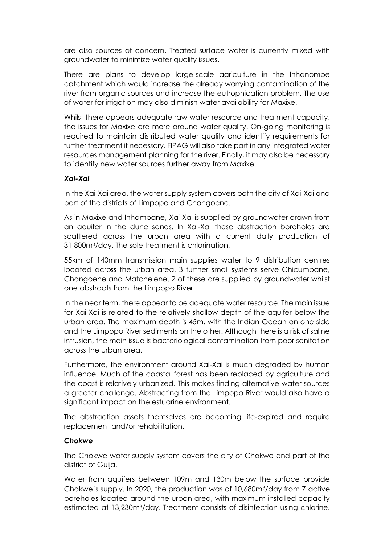are also sources of concern. Treated surface water is currently mixed with groundwater to minimize water quality issues.

There are plans to develop large-scale agriculture in the Inhanombe catchment which would increase the already worrying contamination of the river from organic sources and increase the eutrophication problem. The use of water for irrigation may also diminish water availability for Maxixe.

Whilst there appears adequate raw water resource and treatment capacity, the issues for Maxixe are more around water quality. On-going monitoring is required to maintain distributed water quality and identify requirements for further treatment if necessary. FIPAG will also take part in any integrated water resources management planning for the river. Finally, it may also be necessary to identify new water sources further away from Maxixe.

## *Xai-Xai*

In the Xai-Xai area, the water supply system covers both the city of Xai-Xai and part of the districts of Limpopo and Chongoene.

As in Maxixe and Inhambane, Xai-Xai is supplied by groundwater drawn from an aquifer in the dune sands. In Xai-Xai these abstraction boreholes are scattered across the urban area with a current daily production of 31,800m3/day. The sole treatment is chlorination.

55km of 140mm transmission main supplies water to 9 distribution centres located across the urban area. 3 further small systems serve Chicumbane, Chongoene and Matchelene. 2 of these are supplied by groundwater whilst one abstracts from the Limpopo River.

In the near term, there appear to be adequate water resource. The main issue for Xai-Xai is related to the relatively shallow depth of the aquifer below the urban area. The maximum depth is 45m, with the Indian Ocean on one side and the Limpopo River sediments on the other. Although there is a risk of saline intrusion, the main issue is bacteriological contamination from poor sanitation across the urban area.

Furthermore, the environment around Xai-Xai is much degraded by human influence. Much of the coastal forest has been replaced by agriculture and the coast is relatively urbanized. This makes finding alternative water sources a greater challenge. Abstracting from the Limpopo River would also have a significant impact on the estuarine environment.

The abstraction assets themselves are becoming life-expired and require replacement and/or rehabilitation.

## *Chokwe*

The Chokwe water supply system covers the city of Chokwe and part of the district of Guija.

Water from aquifers between 109m and 130m below the surface provide Chokwe's supply. In 2020, the production was of 10,680m3/day from 7 active boreholes located around the urban area, with maximum installed capacity estimated at 13,230m3/day. Treatment consists of disinfection using chlorine.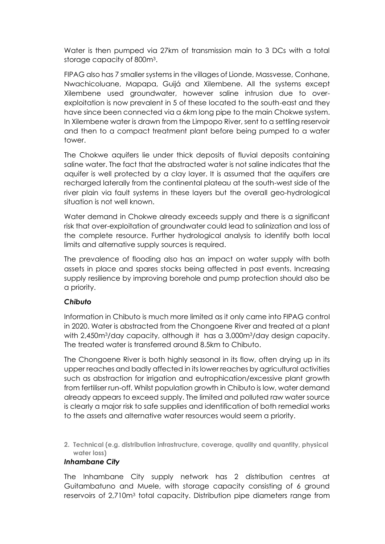Water is then pumped via 27km of transmission main to 3 DCs with a total storage capacity of 800m<sup>3</sup> .

FIPAG also has 7 smaller systems in the villages of Lionde, Massvesse, Conhane, Nwachicoluane, Mapapa, Guijá and Xilembene. All the systems except Xilembene used groundwater, however saline intrusion due to overexploitation is now prevalent in 5 of these located to the south-east and they have since been connected via a 6km long pipe to the main Chokwe system. In Xilembene water is drawn from the Limpopo River, sent to a settling reservoir and then to a compact treatment plant before being pumped to a water tower.

The Chokwe aquifers lie under thick deposits of fluvial deposits containing saline water. The fact that the abstracted water is not saline indicates that the aquifer is well protected by a clay layer. It is assumed that the aquifers are recharged laterally from the continental plateau at the south-west side of the river plain via fault systems in these layers but the overall geo-hydrological situation is not well known.

Water demand in Chokwe already exceeds supply and there is a significant risk that over-exploitation of groundwater could lead to salinization and loss of the complete resource. Further hydrological analysis to identify both local limits and alternative supply sources is required.

The prevalence of flooding also has an impact on water supply with both assets in place and spares stocks being affected in past events. Increasing supply resilience by improving borehole and pump protection should also be a priority.

## *Chibuto*

Information in Chibuto is much more limited as it only came into FIPAG control in 2020. Water is abstracted from the Chongoene River and treated at a plant with 2,450m<sup>3</sup>/day capacity, although it has a 3,000m<sup>3</sup>/day design capacity. The treated water is transferred around 8.5km to Chibuto.

The Chongoene River is both highly seasonal in its flow, often drying up in its upper reaches and badly affected in its lower reaches by agricultural activities such as abstraction for irrigation and eutrophication/excessive plant growth from fertiliser run-off. Whilst population growth in Chibuto is low, water demand already appears to exceed supply. The limited and polluted raw water source is clearly a major risk to safe supplies and identification of both remedial works to the assets and alternative water resources would seem a priority.

**2. Technical (e.g. distribution infrastructure, coverage, quality and quantity, physical water loss)**

## *Inhambane City*

The Inhambane City supply network has 2 distribution centres at Guitambatuno and Muele, with storage capacity consisting of 6 ground reservoirs of 2,710m<sup>3</sup> total capacity. Distribution pipe diameters range from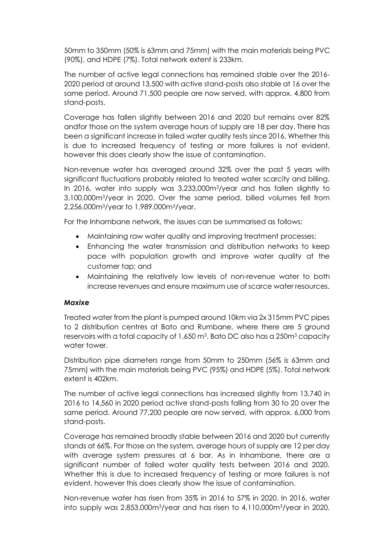50mm to 350mm (50% is 63mm and 75mm) with the main materials being PVC (90%), and HDPE (7%). Total network extent is 233km.

The number of active legal connections has remained stable over the 2016- 2020 period at around 13,500 with active stand-posts also stable at 16 over the same period. Around 71,500 people are now served, with approx. 4,800 from stand-posts.

Coverage has fallen slightly between 2016 and 2020 but remains over 82% andfor those on the system average hours of supply are 18 per day. There has been a significant increase in failed water quality tests since 2016. Whether this is due to increased frequency of testing or more failures is not evident, however this does clearly show the issue of contamination.

Non-revenue water has averaged around 32% over the past 5 years with significant fluctuations probably related to treated water scarcity and billing. In 2016, water into supply was 3,233,000m3/year and has fallen slightly to 3,100,000m3/year in 2020. Over the same period, billed volumes fell from 2,256,000m3/year to 1,989,000m3/year.

For the Inhambane network, the issues can be summarised as follows:

- Maintaining raw water quality and improving treatment processes;
- Enhancing the water transmission and distribution networks to keep pace with population growth and improve water quality at the customer tap; and
- Maintaining the relatively low levels of non-revenue water to both increase revenues and ensure maximum use of scarce water resources.

## *Maxixe*

Treated water from the plant is pumped around 10km via 2x 315mm PVC pipes to 2 distribution centres at Bato and Rumbane, where there are 5 ground reservoirs with a total capacity of 1,650  $\mathrm{m}^{3}$ . Bato DC also has a 250 $\mathrm{m}^{3}$  capacity water tower.

Distribution pipe diameters range from 50mm to 250mm (56% is 63mm and 75mm) with the main materials being PVC (95%) and HDPE (5%). Total network extent is 402km.

The number of active legal connections has increased slightly from 13,740 in 2016 to 14,560 in 2020 period active stand-posts falling from 30 to 20 over the same period. Around 77,200 people are now served, with approx. 6,000 from stand-posts.

Coverage has remained broadly stable between 2016 and 2020 but currently stands at 66%. For those on the system, average hours of supply are 12 per day with average system pressures at 6 bar. As in Inhambane, there are a significant number of failed water quality tests between 2016 and 2020. Whether this is due to increased frequency of testing or more failures is not evident, however this does clearly show the issue of contamination.

Non-revenue water has risen from 35% in 2016 to 57% in 2020. In 2016, water into supply was 2,853,000m3/year and has risen to 4,110,000m3/year in 2020.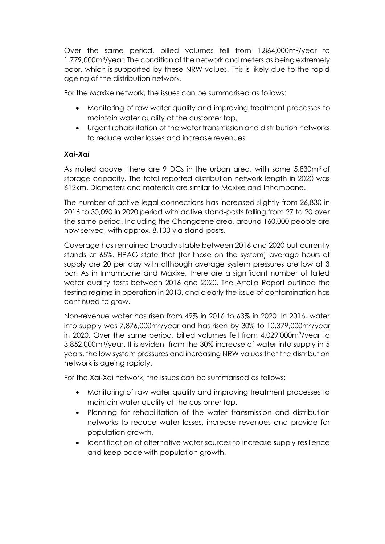Over the same period, billed volumes fell from 1,864,000m3/year to 1,779,000m3/year. The condition of the network and meters as being extremely poor, which is supported by these NRW values. This is likely due to the rapid ageing of the distribution network.

For the Maxixe network, the issues can be summarised as follows:

- Monitoring of raw water quality and improving treatment processes to maintain water quality at the customer tap,
- Urgent rehabilitation of the water transmission and distribution networks to reduce water losses and increase revenues.

## *Xai-Xai*

As noted above, there are 9 DCs in the urban area, with some 5,830m3 of storage capacity. The total reported distribution network length in 2020 was 612km. Diameters and materials are similar to Maxixe and Inhambane.

The number of active legal connections has increased slightly from 26,830 in 2016 to 30,090 in 2020 period with active stand-posts falling from 27 to 20 over the same period. Including the Chongoene area, around 160,000 people are now served, with approx. 8,100 via stand-posts.

Coverage has remained broadly stable between 2016 and 2020 but currently stands at 65%. FIPAG state that (for those on the system) average hours of supply are 20 per day with although average system pressures are low at 3 bar. As in Inhambane and Maxixe, there are a significant number of failed water quality tests between 2016 and 2020. The Artelia Report outlined the testing regime in operation in 2013, and clearly the issue of contamination has continued to grow.

Non-revenue water has risen from 49% in 2016 to 63% in 2020. In 2016, water into supply was 7,876,000m3/year and has risen by 30% to 10,379,000m3/year in 2020. Over the same period, billed volumes fell from 4,029,000m3/year to 3,852,000m3/year. It is evident from the 30% increase of water into supply in 5 years, the low system pressures and increasing NRW values that the distribution network is ageing rapidly.

For the Xai-Xai network, the issues can be summarised as follows:

- Monitoring of raw water quality and improving treatment processes to maintain water quality at the customer tap,
- Planning for rehabilitation of the water transmission and distribution networks to reduce water losses, increase revenues and provide for population growth,
- Identification of alternative water sources to increase supply resilience and keep pace with population growth.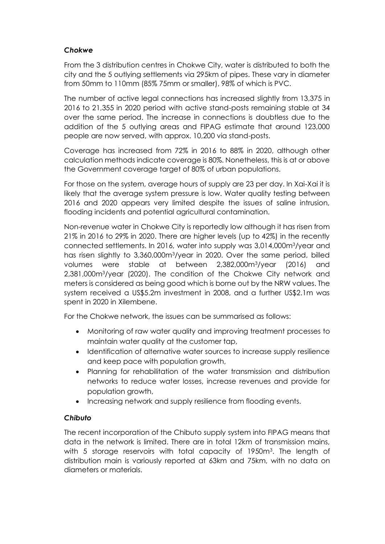## *Chokwe*

From the 3 distribution centres in Chokwe City, water is distributed to both the city and the 5 outlying settlements via 295km of pipes. These vary in diameter from 50mm to 110mm (85% 75mm or smaller), 98% of which is PVC.

The number of active legal connections has increased slightly from 13,375 in 2016 to 21,355 in 2020 period with active stand-posts remaining stable at 34 over the same period. The increase in connections is doubtless due to the addition of the 5 outlying areas and FIPAG estimate that around 123,000 people are now served, with approx. 10,200 via stand-posts.

Coverage has increased from 72% in 2016 to 88% in 2020, although other calculation methods indicate coverage is 80%. Nonetheless, this is at or above the Government coverage target of 80% of urban populations.

For those on the system, average hours of supply are 23 per day. In Xai-Xai it is likely that the average system pressure is low. Water quality testing between 2016 and 2020 appears very limited despite the issues of saline intrusion, flooding incidents and potential agricultural contamination.

Non-revenue water in Chokwe City is reportedly low although it has risen from 21% in 2016 to 29% in 2020. There are higher levels (up to 42%) in the recently connected settlements. In 2016, water into supply was 3,014,000m3/year and has risen slightly to 3,360,000m3/year in 2020. Over the same period, billed volumes were stable at between 2,382,000m3/year (2016) and 2,381,000m3/year (2020). The condition of the Chokwe City network and meters is considered as being good which is borne out by the NRW values. The system received a US\$5.2m investment in 2008, and a further US\$2.1m was spent in 2020 in Xilembene.

For the Chokwe network, the issues can be summarised as follows:

- Monitoring of raw water quality and improving treatment processes to maintain water quality at the customer tap,
- Identification of alternative water sources to increase supply resilience and keep pace with population growth,
- Planning for rehabilitation of the water transmission and distribution networks to reduce water losses, increase revenues and provide for population growth,
- Increasing network and supply resilience from flooding events.

## *Chibuto*

The recent incorporation of the Chibuto supply system into FIPAG means that data in the network is limited. There are in total 12km of transmission mains, with 5 storage reservoirs with total capacity of 1950m<sup>3</sup>. The length of distribution main is variously reported at 63km and 75km, with no data on diameters or materials.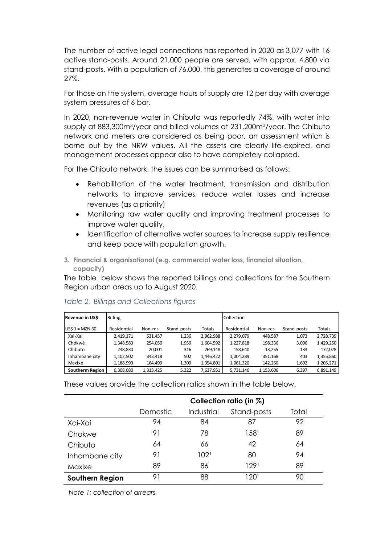The number of active legal connections has reported in 2020 as 3,077 with 16 active stand-posts. Around 21,000 people are served, with approx. 4,800 via stand-posts. With a population of 76,000, this generates a coverage of around 27%.

For those on the system, average hours of supply are 12 per day with average system pressures of 6 bar.

In 2020, non-revenue water in Chibuto was reportedly 74%, with water into supply at 883,300m3/year and billed volumes at 231,200m3/year. The Chibuto network and meters are considered as being poor, an assessment which is borne out by the NRW values. All the assets are clearly life-expired, and management processes appear also to have completely collapsed.

For the Chibuto network, the issues can be summarised as follows:

- Rehabilitation of the water treatment, transmission and distribution networks to improve services, reduce water losses and increase revenues (as a priority)
- Monitoring raw water quality and improving treatment processes to improve water quality,
- Identification of alternative water sources to increase supply resilience and keep pace with population growth.
- **3. Financial & organisational (e.g. commercial water loss, financial situation, capacity)**

The table below shows the reported billings and collections for the Southern Region urban areas up to August 2020.

| Revenue in US\$  | Billing     |           | Collection  |           |             |           |             |           |
|------------------|-------------|-----------|-------------|-----------|-------------|-----------|-------------|-----------|
| $USS 1 = MZN 60$ | Residential | Non-res   | Stand-posts | Totals    | Residential | Non-res   | Stand-posts | Totals    |
| Xai-Xai          | 2,419,171   | 531,457   | 1,236       | 2,962,988 | 2,279,079   | 448.587   | 1,073       | 2,728,739 |
| Chókwè           | 1,348,583   | 254.050   | 1,959       | 1,604,592 | 1,227,818   | 198,336   | 3,096       | 1,429,250 |
| Chibuto          | 248.830     | 20,001    | 316         | 269,148   | 158.640     | 13,255    | 133         | 172,028   |
| Inhambane city   | 1,102,502   | 343,418   | 502         | 1,446,422 | 1,004,289   | 351,168   | 403         | 1,355,860 |
| Maxixe           | 1,188,993   | 164,499   | 1,309       | 1,354,801 | 1,061,320   | 142,260   | 1,692       | 1,205,271 |
| Southerm Region  | 6,308,080   | 1,313,425 | 5,322       | 7,637,951 | 5,731,146   | 1,153,606 | 6,397       | 6,891,149 |

#### <span id="page-15-0"></span>*Table 2. Billings and Collections figures*

These values provide the collection ratios shown in the table below.

|                        | Collection ratio (in %) |                  |                  |       |  |  |  |
|------------------------|-------------------------|------------------|------------------|-------|--|--|--|
|                        | Domestic                | Industrial       | Stand-posts      | Total |  |  |  |
| Xai-Xai                | 94                      | 84               | 87               | 92    |  |  |  |
| Chokwe                 | 91                      | 78               | 158 <sup>1</sup> | 89    |  |  |  |
| Chibuto                | 64                      | 66               | 42               | 64    |  |  |  |
| Inhambane city         | 91                      | 102 <sup>1</sup> | 80               | 94    |  |  |  |
| Maxixe                 | 89                      | 86               | 1291             | 89    |  |  |  |
| <b>Southern Region</b> | 91                      | 88               | 120'             | 90    |  |  |  |

*Note 1: collection of arrears.*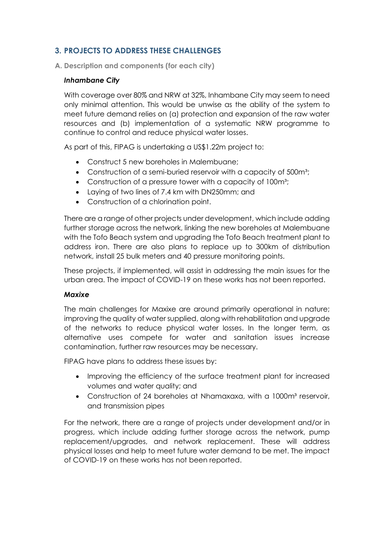## <span id="page-16-0"></span>**3. PROJECTS TO ADDRESS THESE CHALLENGES**

<span id="page-16-1"></span>**A. Description and components (for each city)**

## *Inhambane City*

With coverage over 80% and NRW at 32%, Inhambane City may seem to need only minimal attention. This would be unwise as the ability of the system to meet future demand relies on (a) protection and expansion of the raw water resources and (b) implementation of a systematic NRW programme to continue to control and reduce physical water losses.

As part of this, FIPAG is undertaking a US\$1.22m project to:

- Construct 5 new boreholes in Malembuane;
- Construction of a semi-buried reservoir with a capacity of 500m<sup>3</sup>;
- Construction of a pressure tower with a capacity of 100m<sup>3</sup>;
- Laying of two lines of 7.4 km with DN250mm; and
- Construction of a chlorination point.

There are a range of other projects under development, which include adding further storage across the network, linking the new boreholes at Malembuane with the Tofo Beach system and upgrading the Tofo Beach treatment plant to address iron. There are also plans to replace up to 300km of distribution network, install 25 bulk meters and 40 pressure monitoring points.

These projects, if implemented, will assist in addressing the main issues for the urban area. The impact of COVID-19 on these works has not been reported.

## *Maxixe*

The main challenges for Maxixe are around primarily operational in nature; improving the quality of water supplied, along with rehabilitation and upgrade of the networks to reduce physical water losses. In the longer term, as alternative uses compete for water and sanitation issues increase contamination, further raw resources may be necessary.

FIPAG have plans to address these issues by:

- Improving the efficiency of the surface treatment plant for increased volumes and water quality; and
- Construction of 24 boreholes at Nhamaxaxa, with a 1000m<sup>3</sup> reservoir, and transmission pipes

For the network, there are a range of projects under development and/or in progress, which include adding further storage across the network, pump replacement/upgrades, and network replacement. These will address physical losses and help to meet future water demand to be met. The impact of COVID-19 on these works has not been reported.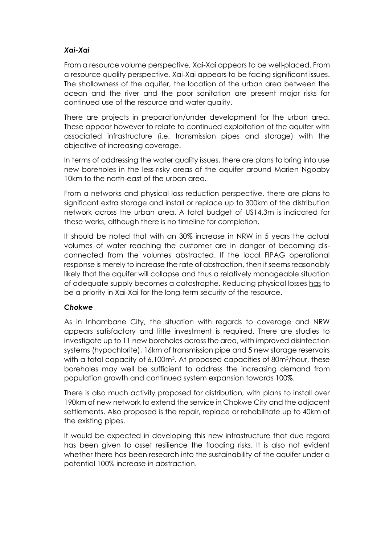## *Xai-Xai*

From a resource volume perspective, Xai-Xai appears to be well-placed. From a resource quality perspective, Xai-Xai appears to be facing significant issues. The shallowness of the aquifer, the location of the urban area between the ocean and the river and the poor sanitation are present major risks for continued use of the resource and water quality.

There are projects in preparation/under development for the urban area. These appear however to relate to continued exploitation of the aquifer with associated infrastructure (i.e. transmission pipes and storage) with the objective of increasing coverage.

In terms of addressing the water quality issues, there are plans to bring into use new boreholes in the less-risky areas of the aquifer around Marien Ngoaby 10km to the north-east of the urban area.

From a networks and physical loss reduction perspective, there are plans to significant extra storage and install or replace up to 300km of the distribution network across the urban area. A total budget of US14.3m is indicated for these works, although there is no timeline for completion.

It should be noted that with an 30% increase in NRW in 5 years the actual volumes of water reaching the customer are in danger of becoming disconnected from the volumes abstracted. If the local FIPAG operational response is merely to increase the rate of abstraction, then it seems reasonably likely that the aquifer will collapse and thus a relatively manageable situation of adequate supply becomes a catastrophe. Reducing physical losses has to be a priority in Xai-Xai for the long-term security of the resource.

## *Chokwe*

As in Inhambane City, the situation with regards to coverage and NRW appears satisfactory and little investment is required. There are studies to investigate up to 11 new boreholes across the area, with improved disinfection systems (hypochlorite), 16km of transmission pipe and 5 new storage reservoirs with a total capacity of 6,100m<sup>3</sup>. At proposed capacities of 80m<sup>3</sup>/hour, these boreholes may well be sufficient to address the increasing demand from population growth and continued system expansion towards 100%.

There is also much activity proposed for distribution, with plans to install over 190km of new network to extend the service in Chokwe City and the adjacent settlements. Also proposed is the repair, replace or rehabilitate up to 40km of the existing pipes.

It would be expected in developing this new infrastructure that due regard has been given to asset resilience the flooding risks. It is also not evident whether there has been research into the sustainability of the aquifer under a potential 100% increase in abstraction.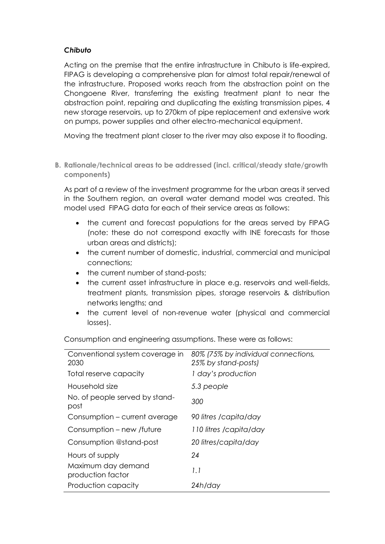## *Chibuto*

Acting on the premise that the entire infrastructure in Chibuto is life-expired, FIPAG is developing a comprehensive plan for almost total repair/renewal of the infrastructure. Proposed works reach from the abstraction point on the Chongoene River, transferring the existing treatment plant to near the abstraction point, repairing and duplicating the existing transmission pipes, 4 new storage reservoirs, up to 270km of pipe replacement and extensive work on pumps, power supplies and other electro-mechanical equipment.

Moving the treatment plant closer to the river may also expose it to flooding.

<span id="page-18-0"></span>**B. Rationale/technical areas to be addressed (incl. critical/steady state/growth components)**

As part of a review of the investment programme for the urban areas it served in the Southern region, an overall water demand model was created. This model used FIPAG data for each of their service areas as follows:

- the current and forecast populations for the areas served by FIPAG (note: these do not correspond exactly with INE forecasts for those urban areas and districts);
- the current number of domestic, industrial, commercial and municipal connections;
- the current number of stand-posts:
- the current asset infrastructure in place e.g. reservoirs and well-fields, treatment plants, transmission pipes, storage reservoirs & distribution networks lengths; and
- the current level of non-revenue water (physical and commercial losses).

| Conventional system coverage in<br>2030 | 80% (75% by individual connections,<br>25% by stand-posts) |
|-----------------------------------------|------------------------------------------------------------|
| Total reserve capacity                  | 1 day's production                                         |
| Household size                          | 5.3 people                                                 |
| No. of people served by stand-<br>post  | 300                                                        |
| Consumption – current average           | 90 litres /capita/day                                      |
| Consumption – new /future               | 110 litres /capita/day                                     |
| Consumption @stand-post                 | 20 litres/capita/day                                       |
| Hours of supply                         | 24                                                         |
| Maximum day demand<br>production factor | 1.1                                                        |
| Production capacity                     | 24h/day                                                    |

Consumption and engineering assumptions. These were as follows: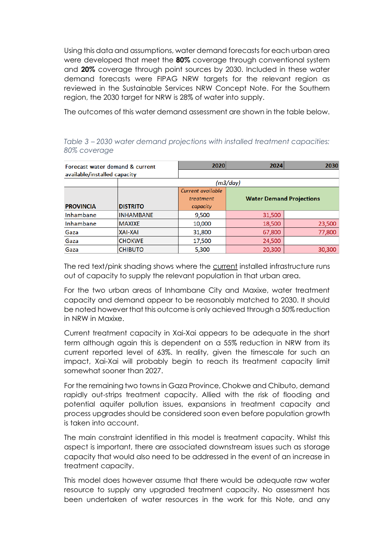Using this data and assumptions, water demand forecasts for each urban area were developed that meet the **80%** coverage through conventional system and **20%** coverage through point sources by 2030. Included in these water demand forecasts were FIPAG NRW targets for the relevant region as reviewed in the Sustainable Services NRW Concept Note. For the Southern region, the 2030 target for NRW is 28% of water into supply.

The outcomes of this water demand assessment are shown in the table below.

|                              | Forecast water demand & current | 2020              | 2024                            | 2030   |  |
|------------------------------|---------------------------------|-------------------|---------------------------------|--------|--|
| available/installed capacity |                                 |                   |                                 |        |  |
|                              |                                 |                   | (m3/day)                        |        |  |
|                              |                                 | Current available |                                 |        |  |
|                              |                                 | treatment         | <b>Water Demand Projections</b> |        |  |
| <b>PROVINCIA</b>             | <b>DISTRITO</b>                 | capacity          |                                 |        |  |
| Inhambane                    | <b>INHAMBANE</b>                | 9,500             | 31,500                          |        |  |
| Inhambane                    | <b>MAXIXE</b>                   | 10,000            | 18,500                          | 23,500 |  |
| Gaza                         | <b>XAI-XAI</b>                  | 31,800            | 67,800                          | 77,800 |  |
| Gaza                         | <b>CHOKWE</b>                   | 17,500            | 24,500                          |        |  |
| Gaza                         | <b>CHIBUTO</b>                  | 5,300             | 20,300                          | 30,300 |  |

*Table 3 – 2030 water demand projections with installed treatment capacities: 80% coverage* 

The red text/pink shading shows where the current installed infrastructure runs out of capacity to supply the relevant population in that urban area.

For the two urban areas of Inhambane City and Maxixe, water treatment capacity and demand appear to be reasonably matched to 2030. It should be noted however that this outcome is only achieved through a 50% reduction in NRW in Maxixe.

Current treatment capacity in Xai-Xai appears to be adequate in the short term although again this is dependent on a 55% reduction in NRW from its current reported level of 63%. In reality, given the timescale for such an impact, Xai-Xai will probably begin to reach its treatment capacity limit somewhat sooner than 2027.

For the remaining two towns in Gaza Province, Chokwe and Chibuto, demand rapidly out-strips treatment capacity. Allied with the risk of flooding and potential aquifer pollution issues, expansions in treatment capacity and process upgrades should be considered soon even before population growth is taken into account.

The main constraint identified in this model is treatment capacity. Whilst this aspect is important, there are associated downstream issues such as storage capacity that would also need to be addressed in the event of an increase in treatment capacity.

This model does however assume that there would be adequate raw water resource to supply any upgraded treatment capacity. No assessment has been undertaken of water resources in the work for this Note, and any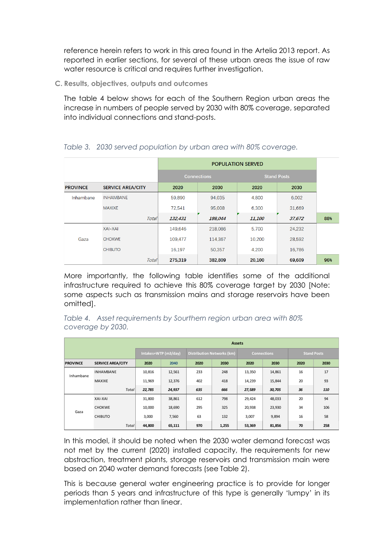reference herein refers to work in this area found in the Artelia 2013 report. As reported in earlier sections, for several of these urban areas the issue of raw water resource is critical and requires further investigation.

<span id="page-20-0"></span>**C. Results, objectives, outputs and outcomes**

The table 4 below shows for each of the Southern Region urban areas the increase in numbers of people served by 2030 with 80% coverage, separated into individual connections and stand-posts.

|                 |                          | <b>POPULATION SERVED</b> |                    |                    |        |     |  |
|-----------------|--------------------------|--------------------------|--------------------|--------------------|--------|-----|--|
|                 |                          |                          | <b>Connections</b> | <b>Stand Posts</b> |        |     |  |
| <b>PROVINCE</b> | <b>SERVICE AREA/CITY</b> | 2020                     | 2030               | 2020               | 2030   |     |  |
| Inhambane       | <b>INHAMBANE</b>         | 59,890                   | 94,035             | 4,800              | 6,002  |     |  |
|                 | <b>MAXIXE</b>            | 72,541                   | 95,008             | 6,300              | 31,669 |     |  |
|                 | <b>Total</b>             | 132,431                  | 189,044            | 11,100             | 37,672 | 88% |  |
|                 | <b>XAI-XAI</b>           | 149.646                  | 218,086            | 5.700              | 24.232 |     |  |
| Gaza            | <b>CHOKWE</b>            | 109.477                  | 114.367            | 10.200             | 28.592 |     |  |
|                 | <b>CHIBUTO</b>           | 16,197                   | 50,357             | 4.200              | 16,786 |     |  |
|                 | Total                    | 275,319                  | 382,809            | 20,100             | 69,609 | 96% |  |

## <span id="page-20-1"></span>*Table 3. 2030 served population by urban area with 80% coverage.*

More importantly, the following table identifies some of the additional infrastructure required to achieve this 80% coverage target by 2030 [Note: some aspects such as transmission mains and storage reservoirs have been omitted].

<span id="page-20-2"></span>*Table 4. Asset requirements by Sourthern region urban area with 80% coverage by 2030.*

|                 | <b>Assets</b>            |                      |        |                                   |       |                    |        |                    |      |
|-----------------|--------------------------|----------------------|--------|-----------------------------------|-------|--------------------|--------|--------------------|------|
|                 |                          | Intakes+WTP (m3/day) |        | <b>Distribution Networks (km)</b> |       | <b>Connections</b> |        | <b>Stand Posts</b> |      |
| <b>PROVINCE</b> | <b>SERVICE AREA/CITY</b> | 2020                 | 2040   | 2020                              | 2030  | 2020               | 2030   | 2020               | 2030 |
| Inhambane       | <b>INHAMBANE</b>         | 10,816               | 12,561 | 233                               | 248   | 13,350             | 14,861 | 16                 | 17   |
|                 | <b>MAXIXE</b>            | 11,969               | 12,376 | 402                               | 418   | 14,239             | 15,844 | 20                 | 93   |
|                 | <b>Total</b>             | 22,785               | 24,937 | 635                               | 666   | 27,589             | 30,705 | 36                 | 110  |
|                 | XAI-XAI                  | 31,800               | 38,861 | 612                               | 798   | 29,424             | 48,033 | 20                 | 94   |
| Gaza            | <b>CHOKWE</b>            | 10,000               | 18,690 | 295                               | 325   | 20,938             | 23,930 | 34                 | 106  |
|                 | <b>CHIBUTO</b>           | 3,000                | 7,560  | 63                                | 132   | 3,007              | 9,894  | 16                 | 58   |
|                 | <b>Total</b>             | 44,800               | 65,111 | 970                               | 1,255 | 53,369             | 81,856 | 70                 | 258  |

In this model, it should be noted when the 2030 water demand forecast was not met by the current (2020) installed capacity, the requirements for new abstraction, treatment plants, storage reservoirs and transmission main were based on 2040 water demand forecasts (see Table 2).

This is because general water engineering practice is to provide for longer periods than 5 years and infrastructure of this type is generally 'lumpy' in its implementation rather than linear.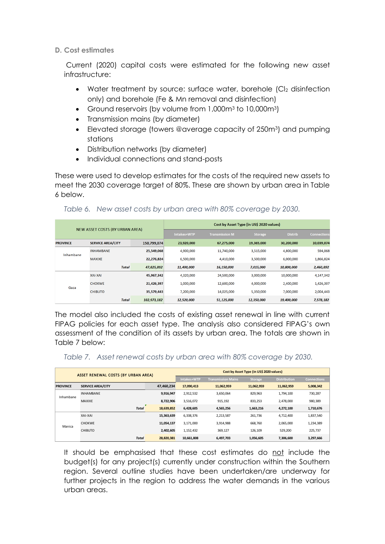## <span id="page-21-0"></span>**D. Cost estimates**

Current (2020) capital costs were estimated for the following new asset infrastructure:

- Water treatment by source: surface water, borehole (CI<sub>2</sub> disinfection) only) and borehole (Fe & Mn removal and disinfection)
- Ground reservoirs (by volume from 1,000m<sup>3</sup> to 10,000m<sup>3</sup>)
- Transmission mains (by diameter)
- Elevated storage (towers @average capacity of 250m<sup>3</sup>) and pumping stations
- Distribution networks (by diameter)
- Individual connections and stand-posts

These were used to develop estimates for the costs of the required new assets to meet the 2030 coverage target of 80%. These are shown by urban area in Table 6 below.

## <span id="page-21-1"></span>*Table 6. New asset costs by urban area with 80% coverage by 2030.*

|                 |                                        |             | Cost by Asset Type (in US\$ 2020 values) |                       |                |                |                    |  |  |
|-----------------|----------------------------------------|-------------|------------------------------------------|-----------------------|----------------|----------------|--------------------|--|--|
|                 | <b>NEW ASSET COSTS (BY URBAN AREA)</b> |             | Intakes+WTP                              | <b>Transmission M</b> | <b>Storage</b> | <b>Distrib</b> | <b>Connections</b> |  |  |
| <b>PROVINCE</b> | <b>SERVICE AREA/CITY</b>               | 150,799,074 | 23,920,000                               | 67,275,000            | 19,365,000     | 30,200,000     | 10,039,074         |  |  |
| Inhambane       | <b>INHAMBANE</b>                       | 25,549,068  | 4,900,000                                | 11,740,000            | 3,515,000      | 4,800,000      | 594,068            |  |  |
|                 | <b>MAXIXE</b>                          | 22,276,824  | 6,500,000                                | 4,410,000             | 3,500,000      | 6,000,000      | 1,866,824          |  |  |
|                 | <b>Total</b>                           | 47,825,892  | 11,400,000                               | 16,150,000            | 7,015,000      | 10,800,000     | 2,460,892          |  |  |
|                 | <b>XAI-XAI</b>                         | 45,967,342  | 4,320,000                                | 24,500,000            | 3,000,000      | 10,000,000     | 4,147,342          |  |  |
|                 | <b>CHOKWE</b>                          | 21,426,397  | 1,000,000                                | 12,600,000            | 4,000,000      | 2,400,000      | 1,426,397          |  |  |
| Gaza            | <b>CHIBUTO</b>                         | 35,579,443  | 7,200,000                                | 14,025,000            | 5,350,000      | 7,000,000      | 2,004,443          |  |  |
|                 | <b>Total</b>                           | 102,973,182 | 12,520,000                               | 51,125,000            | 12,350,000     | 19,400,000     | 7,578,182          |  |  |

The model also included the costs of existing asset renewal in line with current FIPAG policies for each asset type. The analysis also considered FIPAG's own assessment of the condition of its assets by urban area. The totals are shown in Table 7 below:

<span id="page-21-2"></span>

|  |  |  |  | Table 7. Asset renewal costs by urban area with 80% coverage by 2030. |  |
|--|--|--|--|-----------------------------------------------------------------------|--|
|--|--|--|--|-----------------------------------------------------------------------|--|

| ASSET RENEWAL COSTS (BY URBAN AREA) |                          |            | Cost by Asset Type (in US\$ 2020 values) |                           |                |                     |                    |  |  |
|-------------------------------------|--------------------------|------------|------------------------------------------|---------------------------|----------------|---------------------|--------------------|--|--|
|                                     |                          |            |                                          | <b>Transmission Mains</b> | <b>Storage</b> | <b>Distribution</b> | <b>Connections</b> |  |  |
| <b>PROVINCE</b>                     | <b>SERVICE AREA/CITY</b> | 47,460,234 | 17.090.413                               | 11.062.959                | 11,062,959     | 11,062,959          | 5,008,342          |  |  |
| Inhambane                           | <b>INHAMBANE</b>         | 9,916,947  | 2,912,532                                | 3.650.064                 | 829.963        | 1.794.100           | 730,287            |  |  |
|                                     | <b>MAXIXE</b>            | 8,722,906  | 3,516,072                                | 915,192                   | 833,253        | 2,478,000           | 980,389            |  |  |
|                                     | <b>Total</b>             | 18,639,852 | 6,428,605                                | 4,565,256                 | 1,663,216      | 4,272,100           | 1,710,676          |  |  |
|                                     | XAI-XAI                  | 15,363,639 | 6,338,376                                | 2,213,587                 | 261.736        | 4,712,400           | 1,837,540          |  |  |
| Manica                              | <b>CHOKWE</b>            | 11,054,137 | 3.171.000                                | 3.914.988                 | 668.760        | 2.065.000           | 1,234,389          |  |  |
|                                     | <b>CHIBUTO</b>           | 2,402,605  | 1,152,432                                | 369,127                   | 126,109        | 529.200             | 225.737            |  |  |
|                                     | <b>Total</b>             | 28.820.381 | 10,661,808                               | 6,497,703                 | 1,056,605      | 7.306.600           | 3,297,666          |  |  |

It should be emphasised that these cost estimates do not include the budget(s) for any project(s) currently under construction within the Southern region. Several outline studies have been undertaken/are underway for further projects in the region to address the water demands in the various urban areas.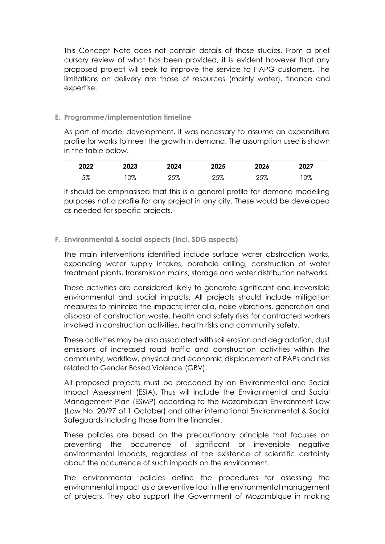This Concept Note does not contain details of those studies. From a brief cursory review of what has been provided, it is evident however that any proposed project will seek to improve the service to FIAPG customers. The limitations on delivery are those of resources (mainly water), finance and expertise.

## <span id="page-22-0"></span>**E. Programme/implementation timeline**

As part of model development, it was necessary to assume an expenditure profile for works to meet the growth in demand. The assumption used is shown in the table below.

| 2022 | 2023 | 2024 | 2025 | 2026 | 2027 |
|------|------|------|------|------|------|
| 5%   | 0%   | 25%  | 25%  | 25%  | 0%   |

It should be emphasised that this is a general profile for demand modelling purposes not a profile for any project in any city. These would be developed as needed for specific projects.

## <span id="page-22-1"></span>**F. Environmental & social aspects (incl. SDG aspects)**

The main interventions identified include surface water abstraction works, expanding water supply intakes, borehole drilling, construction of water treatment plants, transmission mains, storage and water distribution networks.

These activities are considered likely to generate significant and irreversible environmental and social impacts. All projects should include mitigation measures to minimize the impacts; inter alia, noise vibrations, generation and disposal of construction waste, health and safety risks for contracted workers involved in construction activities, health risks and community safety.

These activities may be also associated with soil erosion and degradation, dust emissions of increased road traffic and construction activities within the community, workflow, physical and economic displacement of PAPs and risks related to Gender Based Violence (GBV).

All proposed projects must be preceded by an Environmental and Social Impact Assessment (ESIA). Thus will include the Environmental and Social Management Plan (ESMP) according to the Mozambican Environment Law (Law No. 20/97 of 1 October) and other international Environmental & Social Safeguards including those from the financier.

These policies are based on the precautionary principle that focuses on preventing the occurrence of significant or irreversible negative environmental impacts, regardless of the existence of scientific certainty about the occurrence of such impacts on the environment.

The environmental policies define the procedures for assessing the environmental impact as a preventive tool in the environmental management of projects. They also support the Government of Mozambique in making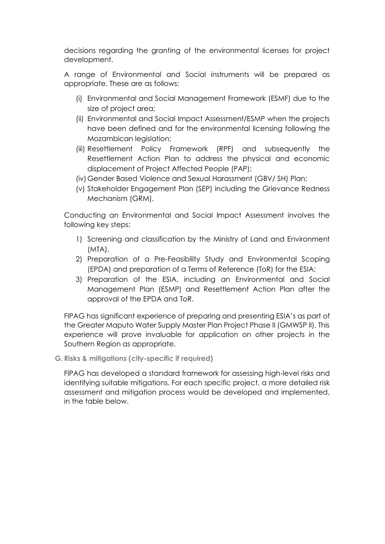decisions regarding the granting of the environmental licenses for project development.

A range of Environmental and Social instruments will be prepared as appropriate. These are as follows;

- (i) Environmental and Social Management Framework (ESMF) due to the size of project area;
- (ii) Environmental and Social Impact Assessment/ESMP when the projects have been defined and for the environmental licensing following the Mozambican leaislation;
- (iii) Resettlement Policy Framework (RPF) and subsequently the Resettlement Action Plan to address the physical and economic displacement of Project Affected People (PAP);
- (iv)Gender Based Violence and Sexual Harassment (GBV/ SH) Plan;
- (v) Stakeholder Engagement Plan (SEP) including the Grievance Redness Mechanism (GRM).

Conducting an Environmental and Social Impact Assessment involves the following key steps:

- 1) Screening and classification by the Ministry of Land and Environment (MTA),
- 2) Preparation of a Pre-Feasibility Study and Environmental Scoping (EPDA) and preparation of a Terms of Reference (ToR) for the ESIA;
- 3) Preparation of the ESIA, including an Environmental and Social Management Plan (ESMP) and Resettlement Action Plan after the approval of the EPDA and ToR.

FIPAG has significant experience of preparing and presenting ESIA's as part of the Greater Maputo Water Supply Master Plan Project Phase II (GMWSP II). This experience will prove invaluable for application on other projects in the Southern Region as appropriate.

<span id="page-23-0"></span>**G. Risks & mitigations (city-specific if required)**

FIPAG has developed a standard framework for assessing high-level risks and identifying suitable mitigations. For each specific project, a more detailed risk assessment and mitigation process would be developed and implemented, in the table below.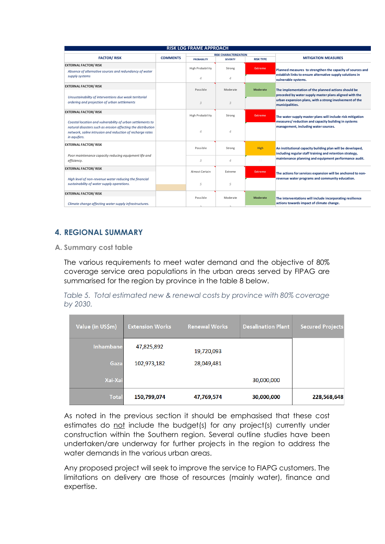| <b>RISK LOG FRAME APPROACH</b>                                                                                            |                 |                         |                          |                  |                                                                                                                   |  |  |  |
|---------------------------------------------------------------------------------------------------------------------------|-----------------|-------------------------|--------------------------|------------------|-------------------------------------------------------------------------------------------------------------------|--|--|--|
|                                                                                                                           |                 |                         |                          |                  |                                                                                                                   |  |  |  |
| <b>FACTOR/RISK</b>                                                                                                        | <b>COMMENTS</b> | <b>PROBABILITY</b>      | <b>SEVERITY</b>          | <b>RISK TYPE</b> | <b>MITIGATION MEASURES</b>                                                                                        |  |  |  |
| <b>EXTERNAL FACTOR/RISK</b>                                                                                               |                 | High Probability        |                          |                  |                                                                                                                   |  |  |  |
| Absence of alternative sources and redundancy of water                                                                    |                 |                         | Strong                   | <b>Extreme</b>   | Planned measures to strengthen the capacity of sources and                                                        |  |  |  |
| supply systems                                                                                                            |                 | $\mathcal{A}$           | 4                        |                  | establish links to ensure alternative supply solutions in<br>vulnerable systems.                                  |  |  |  |
| <b>EXTERNAL FACTOR/RISK</b>                                                                                               |                 |                         |                          |                  |                                                                                                                   |  |  |  |
|                                                                                                                           |                 | Possible                | Moderate                 | <b>Moderate</b>  | The implementation of the planned actions should be                                                               |  |  |  |
| Unsustainability of interventions due weak territorial                                                                    |                 |                         |                          |                  | preceded by water supply master plans aligned with the<br>urban expansion plans, with a strong involvement of the |  |  |  |
| ordering and projection of urban settlements                                                                              |                 | 3                       | 3                        |                  | municipalities.                                                                                                   |  |  |  |
| <b>EXTERNAL FACTOR/RISK</b>                                                                                               |                 |                         |                          |                  |                                                                                                                   |  |  |  |
|                                                                                                                           |                 | <b>High Probability</b> | Strong<br><b>Extreme</b> |                  | The water supply master plans will include risk mitigation                                                        |  |  |  |
| Coastal location and vulnerability of urban settlements to                                                                |                 |                         |                          |                  | measures/reduction and capacity building in systems                                                               |  |  |  |
| natural disasters such as erosion affecting the distribution<br>network, saline intrusion and reduction of recharge rates |                 | $\Delta$                | $\overline{A}$           |                  | management, including water sources.                                                                              |  |  |  |
| in aquifers.                                                                                                              |                 |                         |                          |                  |                                                                                                                   |  |  |  |
| <b>EXTERNAL FACTOR/RISK</b>                                                                                               |                 |                         |                          |                  |                                                                                                                   |  |  |  |
|                                                                                                                           |                 | Possible                | Strong                   | <b>High</b>      | An institutional capacity building plan will be developed,                                                        |  |  |  |
| Poor maintenance capacity reducing equipment life and                                                                     |                 |                         |                          |                  | including regular staff training and retention strategy,<br>maintenance planning and equipment performance audit. |  |  |  |
| efficiency.                                                                                                               |                 | 3                       | 4                        |                  |                                                                                                                   |  |  |  |
| <b>EXTERNAL FACTOR/RISK</b>                                                                                               |                 | Almost Certain          | Extreme                  | <b>Extreme</b>   |                                                                                                                   |  |  |  |
|                                                                                                                           |                 |                         |                          |                  | The actions for services expansion will be anchored to non-                                                       |  |  |  |
| High level of non-revenue water reducing the financial                                                                    |                 |                         |                          |                  | revenue water programs and community education.                                                                   |  |  |  |
| sustainability of water supply operations.                                                                                |                 | 5                       | 5                        |                  |                                                                                                                   |  |  |  |
| <b>EXTERNAL FACTOR/RISK</b>                                                                                               |                 |                         |                          |                  |                                                                                                                   |  |  |  |
|                                                                                                                           |                 | Possible                | Moderate                 | <b>Moderate</b>  | The interventations will include incorporating resilience<br>actions towards impact of climate change.            |  |  |  |
| Climate change affecting water supply infrastructures.                                                                    |                 |                         |                          |                  |                                                                                                                   |  |  |  |

## <span id="page-24-0"></span>**4. REGIONAL SUMMARY**

<span id="page-24-1"></span>**A. Summary cost table**

The various requirements to meet water demand and the objective of 80% coverage service area populations in the urban areas served by FIPAG are summarised for the region by province in the table 8 below.

<span id="page-24-2"></span>*Table 5. Total estimated new & renewal costs by province with 80% coverage by 2030.*

| Value (in US\$m) | <b>Extension Works</b> | <b>Renewal Works</b> | <b>Desalination Plant</b> | <b>Secured Projects</b> |
|------------------|------------------------|----------------------|---------------------------|-------------------------|
| <b>Inhambane</b> | 47,825,892             | 19,720,093           |                           |                         |
| Gaza             | 102,973,182            | 28,049,481           |                           |                         |
| Xai-Xai          |                        |                      | 30,000,000                |                         |
| <b>Total</b>     | 150,799,074            | 47,769,574           | 30,000,000                | 228,568,648             |

As noted in the previous section it should be emphasised that these cost estimates do not include the budget(s) for any project(s) currently under construction within the Southern region. Several outline studies have been undertaken/are underway for further projects in the region to address the water demands in the various urban areas.

Any proposed project will seek to improve the service to FIAPG customers. The limitations on delivery are those of resources (mainly water), finance and expertise.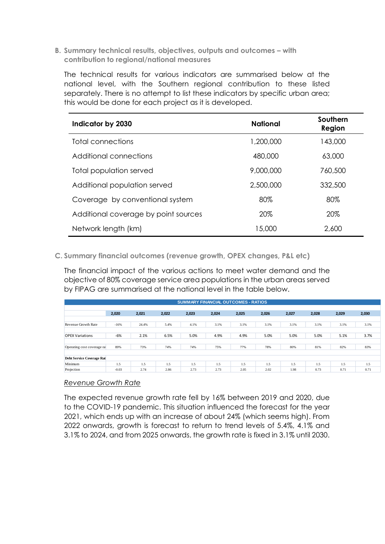<span id="page-25-0"></span>**B. Summary technical results, objectives, outputs and outcomes – with contribution to regional/national measures**

The technical results for various indicators are summarised below at the national level, with the Southern regional contribution to these listed separately. There is no attempt to list these indicators by specific urban area; this would be done for each project as it is developed.

| Indicator by 2030                    | <b>National</b> | Southern<br>Region |
|--------------------------------------|-----------------|--------------------|
| Total connections                    | 1,200,000       | 143,000            |
| Additional connections               | 480,000         | 63,000             |
| Total population served              | 9,000,000       | 760,500            |
| Additional population served         | 2,500,000       | 332,500            |
| Coverage by conventional system      | 80%             | 80%                |
| Additional coverage by point sources | 20%             | 20%                |
| Network length (km)                  | 15,000          | 2,600              |

<span id="page-25-1"></span>**C. Summary financial outcomes (revenue growth, OPEX changes, P&L etc)**

The financial impact of the various actions to meet water demand and the objective of 80% coverage service area populations in the urban areas served by FIPAG are summarised at the national level in the table below.

| <b>SUMMARY FINANCIAL OUTCOMES - RATIOS</b> |         |       |       |       |       |       |       |       |       |       |       |
|--------------------------------------------|---------|-------|-------|-------|-------|-------|-------|-------|-------|-------|-------|
|                                            |         |       |       |       |       |       |       |       |       |       |       |
|                                            | 2,020   | 2,021 | 2,022 | 2,023 | 2,024 | 2,025 | 2,026 | 2,027 | 2,028 | 2,029 | 2,030 |
|                                            |         |       |       |       |       |       |       |       |       |       |       |
| Revenue Growth Rate                        | $-16%$  | 24.4% | 5.4%  | 4.1%  | 3.1%  | 3.1%  | 3.1%  | 3.1%  | 3.1%  | 3.1%  | 3.1%  |
|                                            |         |       |       |       |       |       |       |       |       |       |       |
| <b>OPEX Variations</b>                     | $-6%$   | 2.1%  | 6.5%  | 5.0%  | 4.9%  | 4.9%  | 5.0%  | 5.0%  | 5.0%  | 5.1%  | 3.7%  |
|                                            |         |       |       |       |       |       |       |       |       |       |       |
| Operating cost coverage rat                | 89%     | 73%   | 74%   | 74%   | 75%   | 77%   | 78%   | 80%   | 81%   | 82%   | 83%   |
|                                            |         |       |       |       |       |       |       |       |       |       |       |
| <b>Debt Service Coverage Rat</b>           |         |       |       |       |       |       |       |       |       |       |       |
| Minimum                                    | 1.5     | 1.5   | 1.5   | 1.5   | 1.5   | 1.5   | 1.5   | 1.5   | 1.5   | 1.5   | 1.5   |
| Projection                                 | $-0.03$ | 2.74  | 2.86  | 2.73  | 2.73  | 2.05  | 2.02  | 1.98  | 0.73  | 0.71  | 0.71  |

#### *Revenue Growth Rate*

The expected revenue growth rate fell by 16% between 2019 and 2020, due to the COVID-19 pandemic. This situation influenced the forecast for the year 2021, which ends up with an increase of about 24% (which seems high). From 2022 onwards, growth is forecast to return to trend levels of 5.4%, 4.1% and 3.1% to 2024, and from 2025 onwards, the growth rate is fixed in 3.1% until 2030.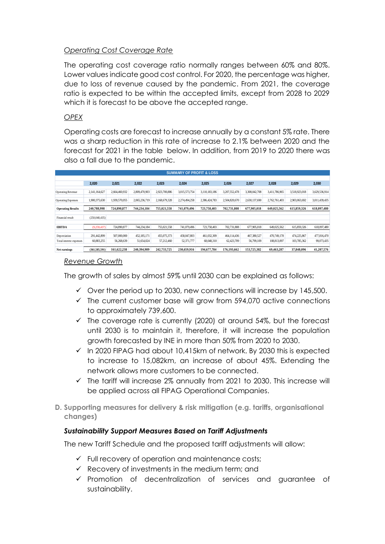## *Operating Cost Coverage Rate*

The operating cost coverage ratio normally ranges between 60% and 80%. Lower values indicate good cost control. For 2020, the percentage was higher, due to loss of revenue caused by the pandemic. From 2021, the coverage ratio is expected to be within the accepted limits, except from 2028 to 2029 which it is forecast to be above the accepted range.

## *OPEX*

Operating costs are forecast to increase annually by a constant 5% rate. There was a sharp reduction in this rate of increase to 2.1% between 2020 and the forecast for 2021 in the table below. In addition, from 2019 to 2020 there was also a fall due to the pandemic.

| <b>SUMMARY OF PROFIT &amp; LOSS</b> |                 |               |               |               |               |               |               |               |               |               |               |
|-------------------------------------|-----------------|---------------|---------------|---------------|---------------|---------------|---------------|---------------|---------------|---------------|---------------|
|                                     |                 |               |               |               |               |               |               |               |               |               |               |
|                                     | 2,020           | 2,021         | 2,022         | 2,023         | 2,024         | 2,025         | 2,026         | 2,027         | 2,028         | 2,029         | 2,030         |
| <b>Operating Revenue</b>            | 2.141.164.627   | 2,664,460,932 | 2,809,470,903 | 2,923,700,886 | 3,015,573,754 | 3,110,183,186 | 3,207,552,478 | 3,308,042,708 | 3,411,786,965 | 3,518,923,018 | 3,629,536,914 |
| Operating Expenses                  | 1,900,375,630   | 1,939,570,055 | 2,065,236,719 | 2,168,679,328 | 2,274,494,258 | 2,386,424,783 | 2,504,820,670 | 2,630,137,690 | 2,762,761,403 | 2,903,063,692 | 3,011,439,435 |
| <b>Operating Results</b>            | 240.788.998     | 724.890.877   | 744.234.184   | 755,021,558   | 741,079,496   | 723,758,403   | 702.731.808   | 677.905.018   | 649.025.562   | 615,859,326   | 618,097,480   |
| Financial result                    | (250, 048, 435) |               |               |               |               |               |               |               |               |               |               |
| <b>EBITDA</b>                       | (9, 259, 437)   | 724,890,877   | 744.234.184   | 755,021,558   | 741,079,496   | 723,758,403   | 702,731,808   | 677,905,018   | 649,025,562   | 615,859,326   | 618,097,480   |
| Depreciation                        | 291.442.899     | 507,000,000   | 452, 185, 171 | 455,075,373   | 458,047,803   | 461,032,309   | 464,114,436   | 467,380,527   | 470,749,178   | 474,225,867   | 477,816,470   |
| Total interest expenses             | 60.883.255      | 56,268,639    | 51.654.024    | 57,212,460    | 52,371,777    | 68,048,310    | 62,423,709    | 56,799,109    | 108.813.097   | 103,785,362   | 99,073,435    |
| Net earnings                        | (361.585.591)   | 161.622.238   | 240.394.989   | 242.733.725   | 230.659.916   | 194,677,784   | 176.193.662   | 153.725.382   | 69.463.287    | 37.848.096    | 41.207.576    |

## *Revenue Growth*

The growth of sales by almost 59% until 2030 can be explained as follows:

- $\checkmark$  Over the period up to 2030, new connections will increase by 145,500.
- $\checkmark$  The current customer base will grow from 594,070 active connections to approximately 739,600.
- ✓ The coverage rate is currently (2020) at around 54%, but the forecast until 2030 is to maintain it, therefore, it will increase the population growth forecasted by INE in more than 50% from 2020 to 2030.
- ✓ In 2020 FIPAG had about 10,415km of network. By 2030 this is expected to increase to 15,082km, an increase of about 45%. Extending the network allows more customers to be connected.
- $\checkmark$  The tariff will increase 2% annually from 2021 to 2030. This increase will be applied across all FIPAG Operational Companies.
- <span id="page-26-0"></span>**D. Supporting measures for delivery & risk mitigation (e.g. tariffs, organisational changes)**

## *Sustainability Support Measures Based on Tariff Adjustments*

The new Tariff Schedule and the proposed tariff adjustments will allow:

- ✓ Full recovery of operation and maintenance costs;
- $\checkmark$  Recovery of investments in the medium term; and
- ✓ Promotion of decentralization of services and guarantee of sustainability.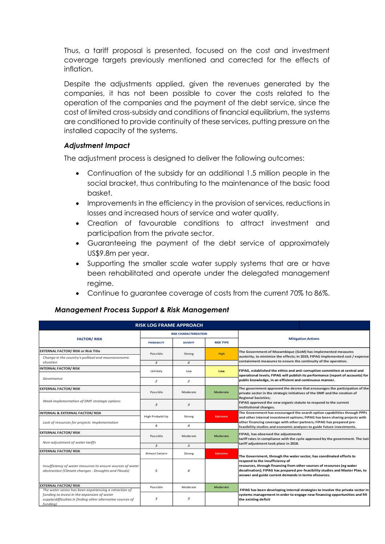Thus, a tariff proposal is presented, focused on the cost and investment coverage targets previously mentioned and corrected for the effects of inflation.

Despite the adjustments applied, given the revenues generated by the companies, it has not been possible to cover the costs related to the operation of the companies and the payment of the debt service, since the cost of limited cross-subsidy and conditions of financial equilibrium, the systems are conditioned to provide continuity of these services, putting pressure on the installed capacity of the systems.

## *Adjustment Impact*

The adjustment process is designed to deliver the following outcomes:

- Continuation of the subsidy for an additional 1.5 million people in the social bracket, thus contributing to the maintenance of the basic food basket.
- Improvements in the efficiency in the provision of services, reductions in losses and increased hours of service and water quality.
- Creation of favourable conditions to attract investment and participation from the private sector.
- Guaranteeing the payment of the debt service of approximately US\$9.8m per year.
- Supporting the smaller scale water supply systems that are or have been rehabilitated and operate under the delegated management regime.
- Continue to guarantee coverage of costs from the current 70% to 86%.

#### *Management Process Support & Risk Management*

| <b>RISK LOG FRAME APPROACH</b>                                                                                         |                         |                              |                  |                                                                                                                                                                                                                 |  |  |
|------------------------------------------------------------------------------------------------------------------------|-------------------------|------------------------------|------------------|-----------------------------------------------------------------------------------------------------------------------------------------------------------------------------------------------------------------|--|--|
|                                                                                                                        |                         | <b>RISK CHARACTERIZATION</b> |                  |                                                                                                                                                                                                                 |  |  |
| <b>FACTOR/RISK</b>                                                                                                     | <b>PROBABILITY</b>      | <b>SEVERITY</b>              | <b>RISK TYPE</b> | <b>Mitigation Actions</b>                                                                                                                                                                                       |  |  |
| <b>EXTERNAL FACTOR/ RISK or Risk Title</b>                                                                             | Possible                | Strong                       | <b>High</b>      | The Government of Mozambique (GoM) has implemented measures                                                                                                                                                     |  |  |
| Change in the country's political and macroeconomic<br>situation                                                       | 3                       | $\overline{a}$               |                  | austerity, to minimize the effects; In 2019, FIPAG implemented cost / expense<br>containment measures to ensure the continuity of the operation.                                                                |  |  |
| <b>INTERNAL FACTOR/RISK</b>                                                                                            | Unlikely                | Low                          | Low              | FIPAG, established the ethics and anti-corruption committee at central and                                                                                                                                      |  |  |
| Governance                                                                                                             | 2                       | 2                            |                  | operational levels; FIPAG will publish its performance (report of accounts) for<br>public knowledge, in an efficient and continuous manner.                                                                     |  |  |
| <b>EXTERNAL FACTOR/ RISK</b>                                                                                           | Possible                | Moderate                     | <b>Moderate</b>  | The government approved the decree that encourages the participation of the<br>private sector in the strategic initiatives of the DMF and the creation of                                                       |  |  |
| Weak implementation of DMF strategic options                                                                           | 3                       | 3                            |                  | <b>Regional Societies:</b><br>FIPAG approved the new organic statute to respond to the current<br>institutional changes.                                                                                        |  |  |
| <b>INTERNAL &amp; EXTERNAL FACTOR/RISK</b>                                                                             | <b>High Probability</b> | Strong                       | <b>Extreme</b>   | The Government has encouraged the search option capabilities through PPPs<br>and other internal investment options; FIPAG has been sharing projects with                                                        |  |  |
| Lack of resources for projects implementation                                                                          | 4                       | 4                            |                  | other financing coverage with other partners; FIPAG has prepared pre-<br>feasibility studies and economic analyzes to guide future investments.                                                                 |  |  |
| <b>EXTERNAL FACTOR/ RISK</b>                                                                                           | Possible                | Moderate                     | <b>Moderate</b>  | FIPAG, has observed the adjustments                                                                                                                                                                             |  |  |
| Non-adjustment of water tariffs                                                                                        |                         |                              |                  | tariff rates in compliance with the cycle approved by the government. The last<br>tariff adjustment took place in 2018.                                                                                         |  |  |
| <b>EXTERNAL FACTOR/ RISK</b>                                                                                           | 3<br>Almost Certain     | 3<br>Strong                  | <b>Extreme</b>   |                                                                                                                                                                                                                 |  |  |
|                                                                                                                        |                         |                              |                  | The Government, through the water sector, has coordinated efforts to<br>respond to the insufficiency of                                                                                                         |  |  |
| Insufficiency of water resources to ensure sources of water<br>abstraction (Climate changes - Droughts and Floods)     | 5                       |                              |                  | resources, through financing from other sources of resources (eg water<br>desalination); FIPAG has prepared pre-feasibility studies and Master Plan, to<br>answer and guide current demands in terms ofsources. |  |  |
| <b>EXTERNAL FACTOR/ RISK</b><br>The water sector has been experiencing a retraction of                                 | Possible                | Moderate                     | <b>Moderate</b>  | FIPAG has been developing internal strategies to involve the private sector in                                                                                                                                  |  |  |
| funding to invest in the expansion of water<br>supply(difficulties in finding other alternative sources of<br>funding) | з                       | 3                            |                  | systems management in order to engage new financing opportunities and fill<br>the existing deficit                                                                                                              |  |  |